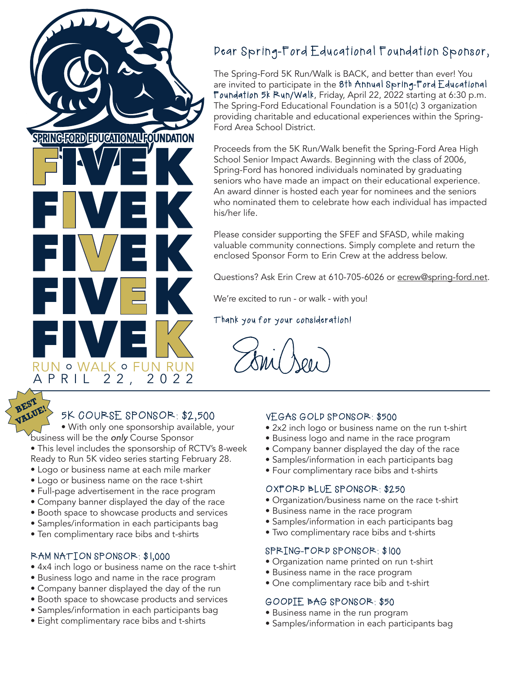

# Dear Spring-Ford Educational Foundation Sponsor,

The Spring-Ford 5K Run/Walk is BACK, and better than ever! You are invited to participate in the 8th Annual Spring-Ford Educational Foundation 5k Run/Walk, Friday, April 22, 2022 starting at 6:30 p.m. The Spring-Ford Educational Foundation is a 501(c) 3 organization providing charitable and educational experiences within the Spring-Ford Area School District.

Proceeds from the 5K Run/Walk benefit the Spring-Ford Area High School Senior Impact Awards. Beginning with the class of 2006, Spring-Ford has honored individuals nominated by graduating seniors who have made an impact on their educational experience. An award dinner is hosted each year for nominees and the seniors who nominated them to celebrate how each individual has impacted his/her life.

Please consider supporting the SFEF and SFASD, while making valuable community connections. Simply complete and return the enclosed Sponsor Form to Erin Crew at the address below.

Questions? Ask Erin Crew at 610-705-6026 or ecrew@spring-ford.net.

We're excited to run - or walk - with you!

### Thank you for your consideration!

• With only one sponsorship available, your business will be the *only* Course Sponsor

- This level includes the sponsorship of RCTV's 8-week Ready to Run 5K video series starting February 28.
- Logo or business name at each mile marker
- Logo or business name on the race t-shirt
- Full-page advertisement in the race program
- Company banner displayed the day of the race
- Booth space to showcase products and services
- Samples/information in each participants bag
- Ten complimentary race bibs and t-shirts

#### RAM NATION SPONSOR: \$1,000

- 4x4 inch logo or business name on the race t-shirt
- Business logo and name in the race program
- Company banner displayed the day of the run
- Booth space to showcase products and services
- Samples/information in each participants bag
- Eight complimentary race bibs and t-shirts

#### VEGAS GOLD SPONSOR: \$500

- 2x2 inch logo or business name on the run t-shirt
- Business logo and name in the race program
- Company banner displayed the day of the race
- Samples/information in each participants bag
- Four complimentary race bibs and t-shirts

#### OXFORD BLUE SPONSOR: \$250

- Organization/business name on the race t-shirt
- Business name in the race program
- Samples/information in each participants bag
- Two complimentary race bibs and t-shirts

#### SPRING-FORD SPONSOR: \$100

- Organization name printed on run t-shirt
- Business name in the race program
- One complimentary race bib and t-shirt

#### GOODIE BAG SPONSOR: \$50

- Business name in the run program
- Samples/information in each participants bag